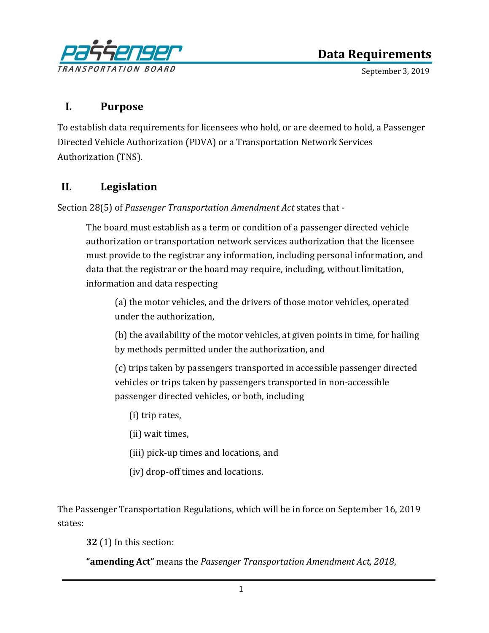

September 3, 2019

## **I. Purpose**

To establish data requirements for licensees who hold, or are deemed to hold, a Passenger Directed Vehicle Authorization (PDVA) or a Transportation Network Services Authorization (TNS).

## **II. Legislation**

Section 28(5) of *Passenger Transportation Amendment Act* states that -

The board must establish as a term or condition of a passenger directed vehicle authorization or transportation network services authorization that the licensee must provide to the registrar any information, including personal information, and data that the registrar or the board may require, including, without limitation, information and data respecting

(a) the motor vehicles, and the drivers of those motor vehicles, operated under the authorization,

(b) the availability of the motor vehicles, at given points in time, for hailing by methods permitted under the authorization, and

(c) trips taken by passengers transported in accessible passenger directed vehicles or trips taken by passengers transported in non-accessible passenger directed vehicles, or both, including

- (i) trip rates,
- (ii) wait times,
- (iii) pick-up times and locations, and
- (iv) drop-off times and locations.

The Passenger Transportation Regulations, which will be in force on September 16, 2019 states:

**32** (1) In this section:

**"amending Act"** means the *Passenger Transportation Amendment Act, 2018*,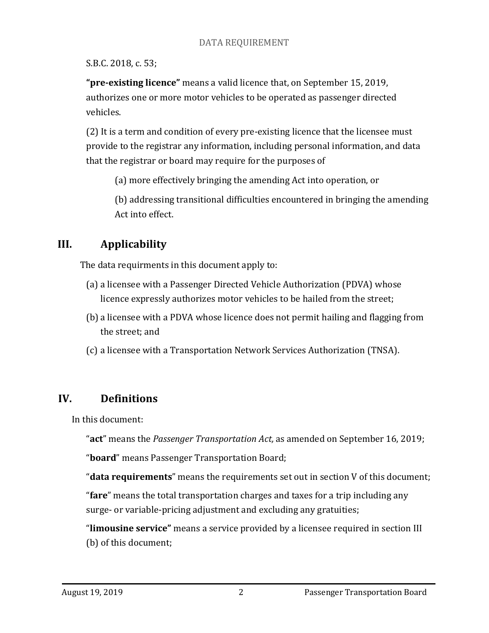S.B.C. 2018, c. 53;

**"pre-existing licence"** means a valid licence that, on September 15, 2019, authorizes one or more motor vehicles to be operated as passenger directed vehicles.

(2) It is a term and condition of every pre-existing licence that the licensee must provide to the registrar any information, including personal information, and data that the registrar or board may require for the purposes of

(a) more effectively bringing the amending Act into operation, or

(b) addressing transitional difficulties encountered in bringing the amending Act into effect.

# **III. Applicability**

The data requirments in this document apply to:

- (a) a licensee with a Passenger Directed Vehicle Authorization (PDVA) whose licence expressly authorizes motor vehicles to be hailed from the street;
- (b) a licensee with a PDVA whose licence does not permit hailing and flagging from the street; and
- (c) a licensee with a Transportation Network Services Authorization (TNSA).

# **IV. Definitions**

In this document:

"**act**" means the *Passenger Transportation Act,* as amended on September 16, 2019;

"**board**" means Passenger Transportation Board;

"**data requirements**" means the requirements set out in section V of this document;

"**fare**" means the total transportation charges and taxes for a trip including any surge- or variable-pricing adjustment and excluding any gratuities;

"**limousine service"** means a service provided by a licensee required in section III (b) of this document;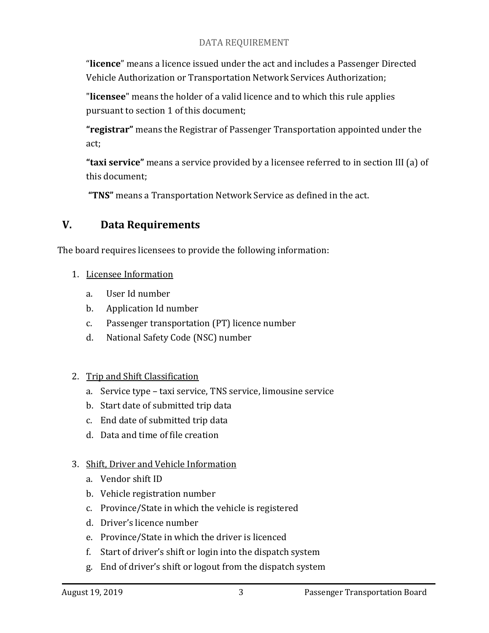#### DATA REQUIREMENT

"**licence**" means a licence issued under the act and includes a Passenger Directed Vehicle Authorization or Transportation Network Services Authorization;

"**licensee**" means the holder of a valid licence and to which this rule applies pursuant to section 1 of this document;

**"registrar"** means the Registrar of Passenger Transportation appointed under the act;

**"taxi service"** means a service provided by a licensee referred to in section III (a) of this document;

**"TNS"** means a Transportation Network Service as defined in the act.

## **V. Data Requirements**

The board requires licensees to provide the following information:

- 1. Licensee Information
	- a. User Id number
	- b. Application Id number
	- c. Passenger transportation (PT) licence number
	- d. National Safety Code (NSC) number
- 2. Trip and Shift Classification
	- a. Service type taxi service, TNS service, limousine service
	- b. Start date of submitted trip data
	- c. End date of submitted trip data
	- d. Data and time of file creation

#### 3. Shift, Driver and Vehicle Information

- a. Vendor shift ID
- b. Vehicle registration number
- c. Province/State in which the vehicle is registered
- d. Driver's licence number
- e. Province/State in which the driver is licenced
- f. Start of driver's shift or login into the dispatch system
- g. End of driver's shift or logout from the dispatch system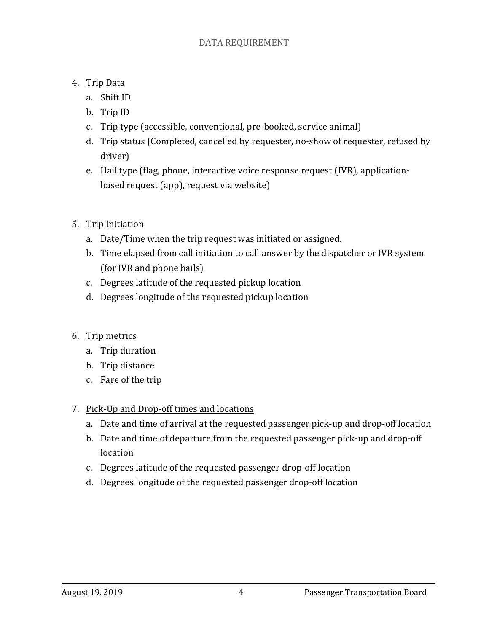- 4. Trip Data
	- a. Shift ID
	- b. Trip ID
	- c. Trip type (accessible, conventional, pre-booked, service animal)
	- d. Trip status (Completed, cancelled by requester, no-show of requester, refused by driver)
	- e. Hail type (flag, phone, interactive voice response request (IVR), applicationbased request (app), request via website)
- 5. Trip Initiation
	- a. Date/Time when the trip request was initiated or assigned.
	- b. Time elapsed from call initiation to call answer by the dispatcher or IVR system (for IVR and phone hails)
	- c. Degrees latitude of the requested pickup location
	- d. Degrees longitude of the requested pickup location
- 6. Trip metrics
	- a. Trip duration
	- b. Trip distance
	- c. Fare of the trip
- 7. Pick-Up and Drop-off times and locations
	- a. Date and time of arrival at the requested passenger pick-up and drop-off location
	- b. Date and time of departure from the requested passenger pick-up and drop-off location
	- c. Degrees latitude of the requested passenger drop-off location
	- d. Degrees longitude of the requested passenger drop-off location